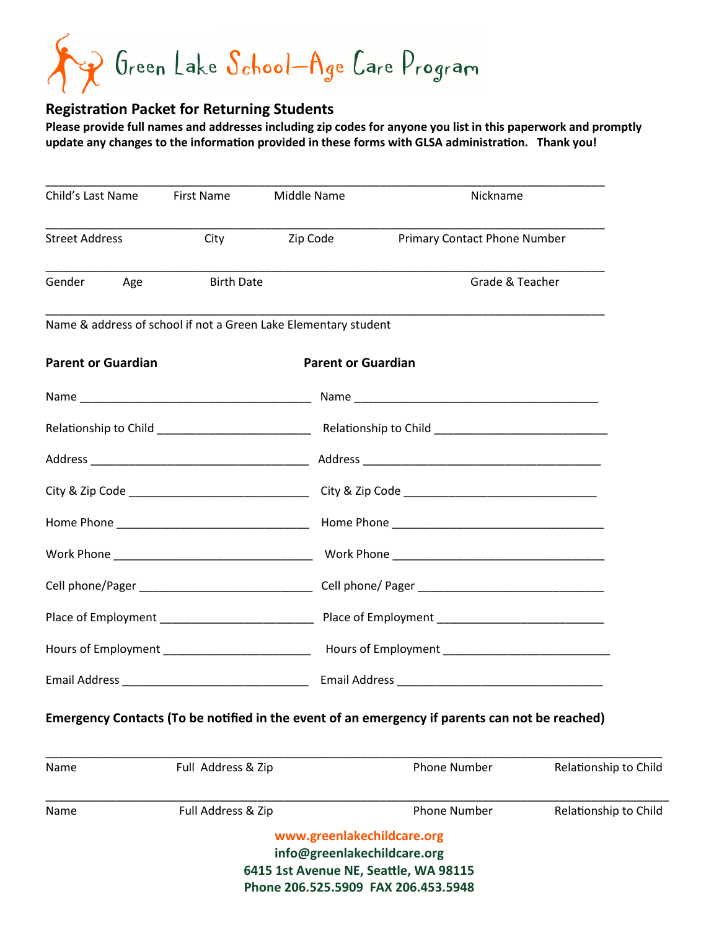$\gamma$  Green Lake  $\mathcal{S}_{ch}$ ool—Age Care Program

## **Registration Packet for Returning Students**

**Please provide full names and addresses including zip codes for anyone you list in this paperwork and promptly update any changes to the information provided in these forms with GLSA administration. Thank you!**

| <b>First Name</b><br>Child's Last Name |                    | Middle Name                                                                                                                               | Nickname                                                                                       |                       |  |  |
|----------------------------------------|--------------------|-------------------------------------------------------------------------------------------------------------------------------------------|------------------------------------------------------------------------------------------------|-----------------------|--|--|
| <b>Street Address</b>                  | City               | Zip Code                                                                                                                                  | Primary Contact Phone Number                                                                   |                       |  |  |
| Gender Age                             | <b>Birth Date</b>  |                                                                                                                                           | Grade & Teacher                                                                                |                       |  |  |
|                                        |                    | Name & address of school if not a Green Lake Elementary student                                                                           |                                                                                                |                       |  |  |
| <b>Parent or Guardian</b>              |                    | <b>Parent or Guardian</b>                                                                                                                 |                                                                                                |                       |  |  |
|                                        |                    |                                                                                                                                           |                                                                                                |                       |  |  |
|                                        |                    |                                                                                                                                           |                                                                                                |                       |  |  |
|                                        |                    |                                                                                                                                           |                                                                                                |                       |  |  |
|                                        |                    |                                                                                                                                           |                                                                                                |                       |  |  |
|                                        |                    |                                                                                                                                           |                                                                                                |                       |  |  |
|                                        |                    |                                                                                                                                           |                                                                                                |                       |  |  |
|                                        |                    |                                                                                                                                           |                                                                                                |                       |  |  |
|                                        |                    |                                                                                                                                           |                                                                                                |                       |  |  |
|                                        |                    |                                                                                                                                           |                                                                                                |                       |  |  |
|                                        |                    |                                                                                                                                           |                                                                                                |                       |  |  |
|                                        |                    |                                                                                                                                           | Emergency Contacts (To be notified in the event of an emergency if parents can not be reached) |                       |  |  |
| Name                                   | Full Address & Zip |                                                                                                                                           | <b>Phone Number</b>                                                                            | Relationship to Child |  |  |
| Name                                   | Full Address & Zip |                                                                                                                                           | <b>Phone Number</b>                                                                            | Relationship to Child |  |  |
|                                        |                    | www.greenlakechildcare.org<br>info@greenlakechildcare.org<br>6415 1st Avenue NE, Seattle, WA 98115<br>Phone 206.525.5909 FAX 206.453.5948 |                                                                                                |                       |  |  |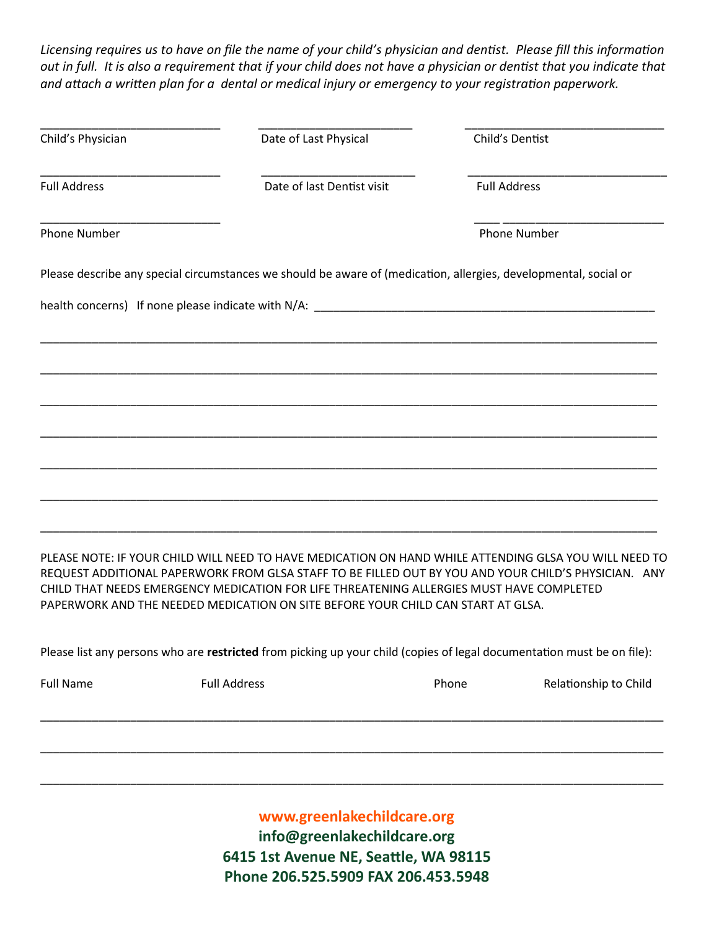*Licensing requires us to have on file the name of your child's physician and dentist. Please fill this information out in full. It is also a requirement that if your child does not have a physician or dentist that you indicate that and attach a written plan for a dental or medical injury or emergency to your registration paperwork.* 

| Child's Physician          | Date of Last Physical                                                                                                                                                        |       | Child's Dentist                                                                                                                                                                                               |  |  |  |
|----------------------------|------------------------------------------------------------------------------------------------------------------------------------------------------------------------------|-------|---------------------------------------------------------------------------------------------------------------------------------------------------------------------------------------------------------------|--|--|--|
| <b>Full Address</b>        | Date of last Dentist visit                                                                                                                                                   |       | <b>Full Address</b>                                                                                                                                                                                           |  |  |  |
| <b>Phone Number</b>        |                                                                                                                                                                              |       | <b>Phone Number</b>                                                                                                                                                                                           |  |  |  |
|                            |                                                                                                                                                                              |       | Please describe any special circumstances we should be aware of (medication, allergies, developmental, social or                                                                                              |  |  |  |
|                            |                                                                                                                                                                              |       |                                                                                                                                                                                                               |  |  |  |
|                            |                                                                                                                                                                              |       |                                                                                                                                                                                                               |  |  |  |
|                            |                                                                                                                                                                              |       |                                                                                                                                                                                                               |  |  |  |
|                            |                                                                                                                                                                              |       |                                                                                                                                                                                                               |  |  |  |
|                            |                                                                                                                                                                              |       |                                                                                                                                                                                                               |  |  |  |
|                            |                                                                                                                                                                              |       |                                                                                                                                                                                                               |  |  |  |
|                            |                                                                                                                                                                              |       |                                                                                                                                                                                                               |  |  |  |
|                            | CHILD THAT NEEDS EMERGENCY MEDICATION FOR LIFE THREATENING ALLERGIES MUST HAVE COMPLETED<br>PAPERWORK AND THE NEEDED MEDICATION ON SITE BEFORE YOUR CHILD CAN START AT GLSA. |       | PLEASE NOTE: IF YOUR CHILD WILL NEED TO HAVE MEDICATION ON HAND WHILE ATTENDING GLSA YOU WILL NEED TO<br>REQUEST ADDITIONAL PAPERWORK FROM GLSA STAFF TO BE FILLED OUT BY YOU AND YOUR CHILD'S PHYSICIAN. ANY |  |  |  |
|                            |                                                                                                                                                                              |       | Please list any persons who are restricted from picking up your child (copies of legal documentation must be on file):                                                                                        |  |  |  |
| <b>Full Name</b>           | <b>Full Address</b>                                                                                                                                                          | Phone | Relationship to Child                                                                                                                                                                                         |  |  |  |
|                            |                                                                                                                                                                              |       |                                                                                                                                                                                                               |  |  |  |
|                            |                                                                                                                                                                              |       |                                                                                                                                                                                                               |  |  |  |
|                            |                                                                                                                                                                              |       |                                                                                                                                                                                                               |  |  |  |
| www.greenlakechildcare.org |                                                                                                                                                                              |       |                                                                                                                                                                                                               |  |  |  |

**info@greenlakechildcare.org 6415 1st Avenue NE, Seattle, WA 98115 Phone 206.525.5909 FAX 206.453.5948**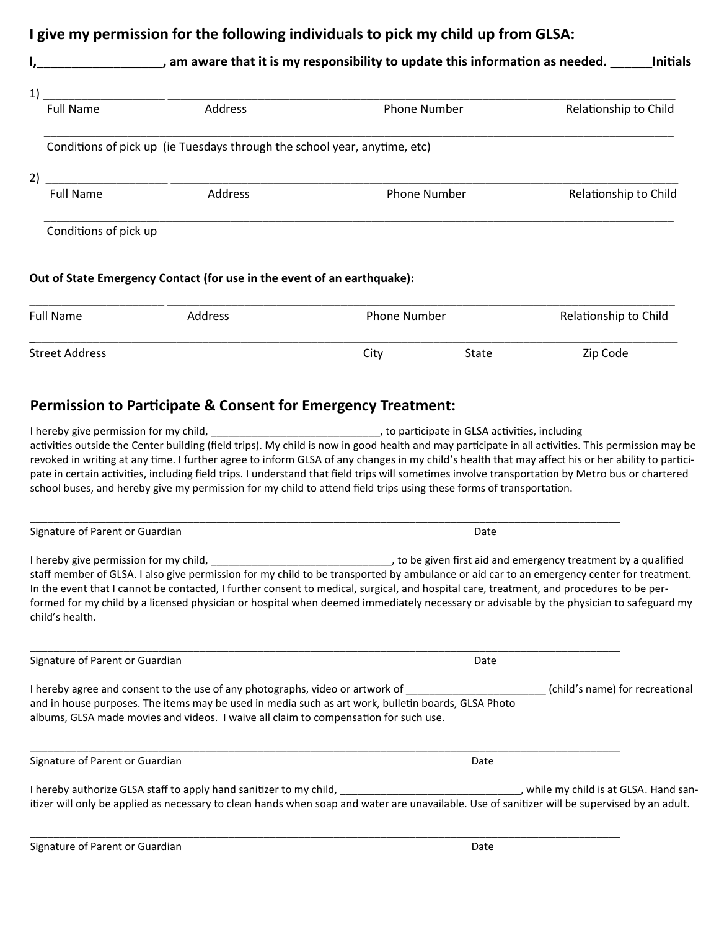## **I give my permission for the following individuals to pick my child up from GLSA:**

|                                       | ____________, am aware that it is my responsibility to update this information as needed. _____                        |                     |                                             | <b>Initials</b>       |  |
|---------------------------------------|------------------------------------------------------------------------------------------------------------------------|---------------------|---------------------------------------------|-----------------------|--|
| 1)                                    | <u> 1989 - Johann John Stone, mars et al. 1989 - John Stone, mars et al. 1989 - John Stone, mars et al. 1989 - Joh</u> |                     |                                             |                       |  |
| <b>Full Name</b>                      | Address                                                                                                                |                     | Phone Number                                | Relationship to Child |  |
|                                       | Conditions of pick up (ie Tuesdays through the school year, anytime, etc)                                              |                     |                                             |                       |  |
| 2) $\overline{\phantom{a}}$           |                                                                                                                        |                     |                                             |                       |  |
| <b>Full Name</b>                      | Address                                                                                                                | <b>Phone Number</b> |                                             | Relationship to Child |  |
| Conditions of pick up                 | Out of State Emergency Contact (for use in the event of an earthquake):                                                |                     |                                             |                       |  |
| <b>Full Name</b><br>Address           |                                                                                                                        | <b>Phone Number</b> |                                             | Relationship to Child |  |
| <b>Street Address</b>                 |                                                                                                                        | City                | <b>State</b>                                | Zip Code              |  |
|                                       | <b>Permission to Participate &amp; Consent for Emergency Treatment:</b>                                                |                     |                                             |                       |  |
| I harahy give narmission for my child |                                                                                                                        |                     | to narticinate in GLSA activities including |                       |  |

I hereby give permission for my child, \_\_\_\_\_\_\_\_\_\_\_\_\_\_\_\_\_\_\_\_\_\_\_\_\_\_\_\_\_, to participate in GLSA activities, including activities outside the Center building (field trips). My child is now in good health and may participate in all activities. This permission may be revoked in writing at any time. I further agree to inform GLSA of any changes in my child's health that may affect his or her ability to participate in certain activities, including field trips. I understand that field trips will sometimes involve transportation by Metro bus or chartered school buses, and hereby give my permission for my child to attend field trips using these forms of transportation.

Signature of Parent or Guardian Date of Parent or Guardian Date of Parent Control of Parent Control of Parent Control of Date of Parent Control of Date of Parent Control of Date of Date of Date of Date of Date of Date of D I hereby give permission for my child, and is a child and emergency treatment by a qualified in the result of the state of the state of the state of the state of the state of the state of the state of the state of the stat staff member of GLSA. I also give permission for my child to be transported by ambulance or aid car to an emergency center for treatment. In the event that I cannot be contacted, I further consent to medical, surgical, and hospital care, treatment, and procedures to be performed for my child by a licensed physician or hospital when deemed immediately necessary or advisable by the physician to safeguard my child's health.

\_\_\_\_\_\_\_\_\_\_\_\_\_\_\_\_\_\_\_\_\_\_\_\_\_\_\_\_\_\_\_\_\_\_\_\_\_\_\_\_\_\_\_\_\_\_\_\_\_\_\_\_\_\_\_\_\_\_\_\_\_\_\_\_\_\_\_\_\_\_\_\_\_\_\_\_\_\_\_\_\_\_\_\_\_\_\_\_\_\_\_\_\_\_\_\_\_\_\_\_\_

\_\_\_\_\_\_\_\_\_\_\_\_\_\_\_\_\_\_\_\_\_\_\_\_\_\_\_\_\_\_\_\_\_\_\_\_\_\_\_\_\_\_\_\_\_\_\_\_\_\_\_\_\_\_\_\_\_\_\_\_\_\_\_\_\_\_\_\_\_\_\_\_\_\_\_\_\_\_\_\_\_\_\_\_\_\_\_\_\_\_\_\_\_\_\_\_\_\_\_\_\_

\_\_\_\_\_\_\_\_\_\_\_\_\_\_\_\_\_\_\_\_\_\_\_\_\_\_\_\_\_\_\_\_\_\_\_\_\_\_\_\_\_\_\_\_\_\_\_\_\_\_\_\_\_\_\_\_\_\_\_\_\_\_\_\_\_\_\_\_\_\_\_\_\_\_\_\_\_\_\_\_\_\_\_\_\_\_\_\_\_\_\_\_\_\_\_\_\_\_\_\_\_

Signature of Parent or Guardian Date of Parent or Guardian Date of Parent Control of Parent Control of Parent Control of Date of Parent Control of Date of Parent Control of Date of Date of Date of Date of Date of Date of D I hereby agree and consent to the use of any photographs, video or artwork of \_\_\_\_\_\_\_\_\_\_\_\_\_\_\_\_\_\_\_\_\_\_\_\_\_\_\_\_\_\_\_(child's name) for recreational and in house purposes. The items may be used in media such as art work, bulletin boards, GLSA Photo albums, GLSA made movies and videos. I waive all claim to compensation for such use. \_\_\_\_\_\_\_\_\_\_\_\_\_\_\_\_\_\_\_\_\_\_\_\_\_\_\_\_\_\_\_\_\_\_\_\_\_\_\_\_\_\_\_\_\_\_\_\_\_\_\_\_\_\_\_\_\_\_\_\_\_\_\_\_\_\_\_\_\_\_\_\_\_\_\_\_\_\_\_\_\_\_\_\_\_\_\_\_\_\_\_\_\_\_\_\_\_\_\_\_\_ Signature of Parent or Guardian Date of Parent or Guardian Date of Parent or Guardian Date of Parent or Guardian Date

I hereby authorize GLSA staff to apply hand sanitizer to my child, \_\_\_\_\_\_\_\_\_\_\_\_\_\_\_\_\_\_\_\_\_\_\_\_\_\_\_\_\_\_\_, while my child is at GLSA. Hand sanitizer will only be applied as necessary to clean hands when soap and water are unavailable. Use of sanitizer will be supervised by an adult.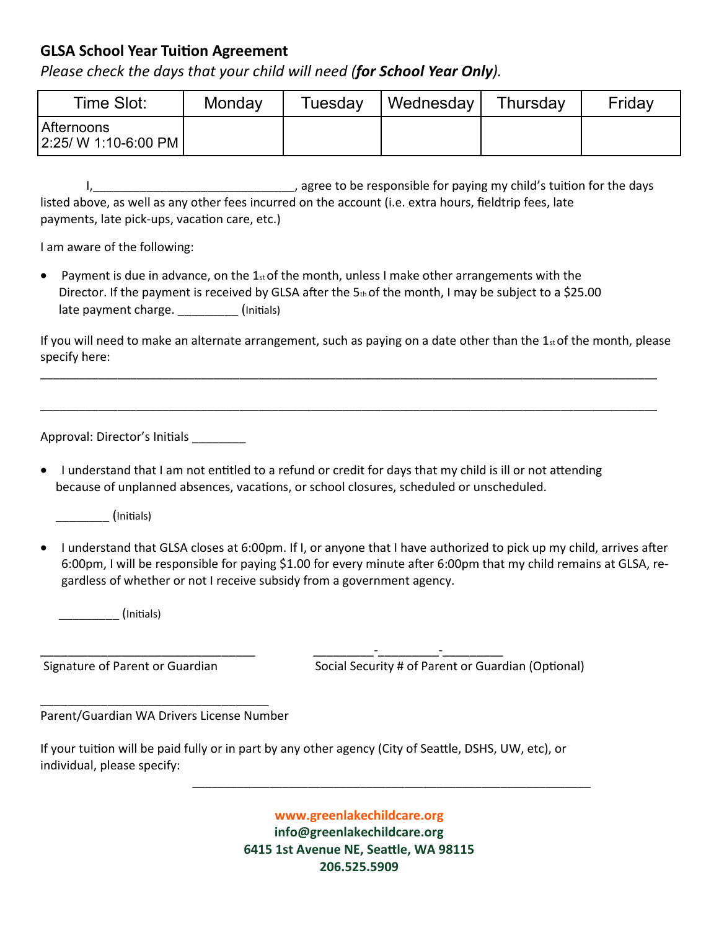## **GLSA School Year Tuition Agreement**

*Please check the days that your child will need (for School Year Only).*

| Time Slot:   | Monday | Tuesday | Wednesday | Thursdav | Friday |
|--------------|--------|---------|-----------|----------|--------|
| l Afternoons |        |         |           |          |        |

 I,\_\_\_\_\_\_\_\_\_\_\_\_\_\_\_\_\_\_\_\_\_\_\_\_\_\_\_\_\_\_, agree to be responsible for paying my child's tuition for the days listed above, as well as any other fees incurred on the account (i.e. extra hours, fieldtrip fees, late payments, late pick-ups, vacation care, etc.)

I am aware of the following:

• Payment is due in advance, on the  $1_{st}$  of the month, unless I make other arrangements with the Director. If the payment is received by GLSA after the  $5<sub>th</sub>$  of the month, I may be subject to a \$25.00 late payment charge. (Initials)

If you will need to make an alternate arrangement, such as paying on a date other than the  $1<sub>st</sub>$  of the month, please specify here:

\_\_\_\_\_\_\_\_\_\_\_\_\_\_\_\_\_\_\_\_\_\_\_\_\_\_\_\_\_\_\_\_\_\_\_\_\_\_\_\_\_\_\_\_\_\_\_\_\_\_\_\_\_\_\_\_\_\_\_\_\_\_\_\_\_\_\_\_\_\_\_\_\_\_\_\_\_\_\_\_\_\_\_\_\_\_\_\_\_\_\_\_\_\_\_\_

\_\_\_\_\_\_\_\_\_\_\_\_\_\_\_\_\_\_\_\_\_\_\_\_\_\_\_\_\_\_\_\_\_\_\_\_\_\_\_\_\_\_\_\_\_\_\_\_\_\_\_\_\_\_\_\_\_\_\_\_\_\_\_\_\_\_\_\_\_\_\_\_\_\_\_\_\_\_\_\_\_\_\_\_\_\_\_\_\_\_\_\_\_\_\_\_

Approval: Director's Initials \_\_\_\_\_\_\_\_\_

• I understand that I am not entitled to a refund or credit for days that my child is ill or not attending because of unplanned absences, vacations, or school closures, scheduled or unscheduled.

\_\_\_\_\_\_\_\_ (Initials)

• I understand that GLSA closes at 6:00pm. If I, or anyone that I have authorized to pick up my child, arrives after 6:00pm, I will be responsible for paying \$1.00 for every minute after 6:00pm that my child remains at GLSA, regardless of whether or not I receive subsidy from a government agency.

\_\_\_\_\_\_\_\_\_ (Initials)

\_\_\_\_\_\_\_\_\_\_\_\_\_\_\_\_\_\_\_\_\_\_\_\_\_\_\_\_\_\_\_\_ \_\_\_\_\_\_\_\_\_-\_\_\_\_\_\_\_\_\_-\_\_\_\_\_\_\_\_\_ Signature of Parent or Guardian Social Security # of Parent or Guardian (Optional)

Parent/Guardian WA Drivers License Number

\_\_\_\_\_\_\_\_\_\_\_\_\_\_\_\_\_\_\_\_\_\_\_\_\_\_\_\_\_\_\_\_\_\_

If your tuition will be paid fully or in part by any other agency (City of Seattle, DSHS, UW, etc), or individual, please specify:

\_\_\_\_\_\_\_\_\_\_\_\_\_\_\_\_\_\_\_\_\_\_\_\_\_\_\_\_\_\_\_\_\_\_\_\_\_\_\_\_\_\_\_\_\_\_\_\_\_\_\_\_\_\_\_\_\_\_\_\_\_\_

**www.greenlakechildcare.org info@greenlakechildcare.org 6415 1st Avenue NE, Seattle, WA 98115 206.525.5909**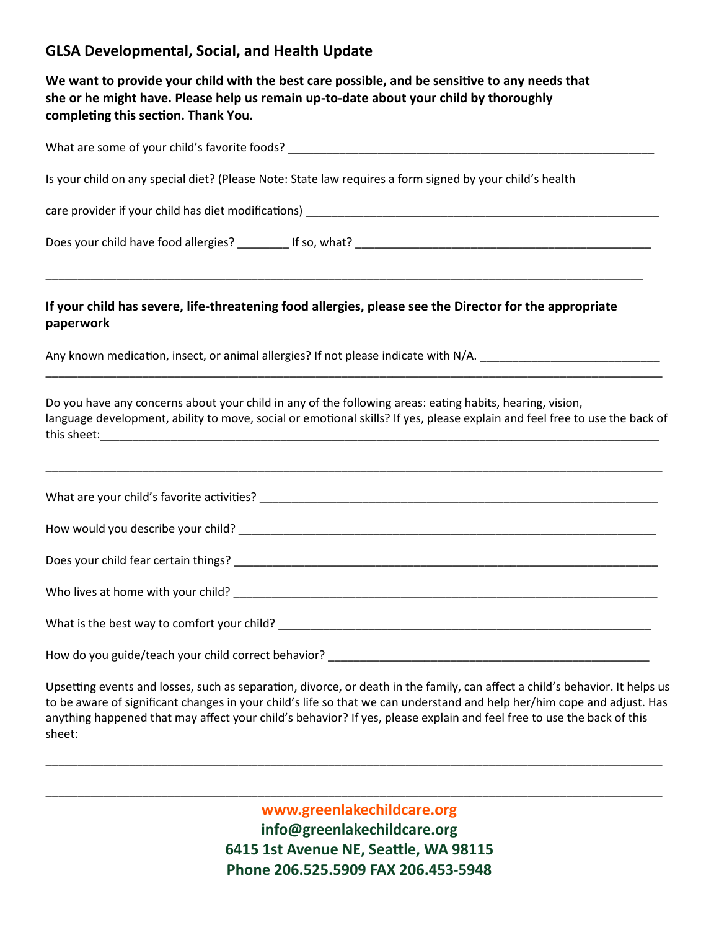## **GLSA Developmental, Social, and Health Update**

**We want to provide your child with the best care possible, and be sensitive to any needs that she or he might have. Please help us remain up-to-date about your child by thoroughly completing this section. Thank You.**

| Is your child on any special diet? (Please Note: State law requires a form signed by your child's health                                                                                                                               |  |  |  |  |  |  |
|----------------------------------------------------------------------------------------------------------------------------------------------------------------------------------------------------------------------------------------|--|--|--|--|--|--|
|                                                                                                                                                                                                                                        |  |  |  |  |  |  |
|                                                                                                                                                                                                                                        |  |  |  |  |  |  |
| If your child has severe, life-threatening food allergies, please see the Director for the appropriate<br>paperwork                                                                                                                    |  |  |  |  |  |  |
| Any known medication, insect, or animal allergies? If not please indicate with N/A. __________________________                                                                                                                         |  |  |  |  |  |  |
| Do you have any concerns about your child in any of the following areas: eating habits, hearing, vision,<br>language development, ability to move, social or emotional skills? If yes, please explain and feel free to use the back of |  |  |  |  |  |  |
|                                                                                                                                                                                                                                        |  |  |  |  |  |  |
|                                                                                                                                                                                                                                        |  |  |  |  |  |  |
|                                                                                                                                                                                                                                        |  |  |  |  |  |  |
|                                                                                                                                                                                                                                        |  |  |  |  |  |  |
|                                                                                                                                                                                                                                        |  |  |  |  |  |  |
|                                                                                                                                                                                                                                        |  |  |  |  |  |  |

Upsetting events and losses, such as separation, divorce, or death in the family, can affect a child's behavior. It helps us to be aware of significant changes in your child's life so that we can understand and help her/him cope and adjust. Has anything happened that may affect your child's behavior? If yes, please explain and feel free to use the back of this sheet:

\_\_\_\_\_\_\_\_\_\_\_\_\_\_\_\_\_\_\_\_\_\_\_\_\_\_\_\_\_\_\_\_\_\_\_\_\_\_\_\_\_\_\_\_\_\_\_\_\_\_\_\_\_\_\_\_\_\_\_\_\_\_\_\_\_\_\_\_\_\_\_\_\_\_\_\_\_\_\_\_\_\_\_\_\_\_\_\_\_\_\_\_\_\_\_\_

\_\_\_\_\_\_\_\_\_\_\_\_\_\_\_\_\_\_\_\_\_\_\_\_\_\_\_\_\_\_\_\_\_\_\_\_\_\_\_\_\_\_\_\_\_\_\_\_\_\_\_\_\_\_\_\_\_\_\_\_\_\_\_\_\_\_\_\_\_\_\_\_\_\_\_\_\_\_\_\_\_\_\_\_\_\_\_\_\_\_\_\_\_\_\_\_

**www.greenlakechildcare.org info@greenlakechildcare.org 6415 1st Avenue NE, Seattle, WA 98115 Phone 206.525.5909 FAX 206.453-5948**